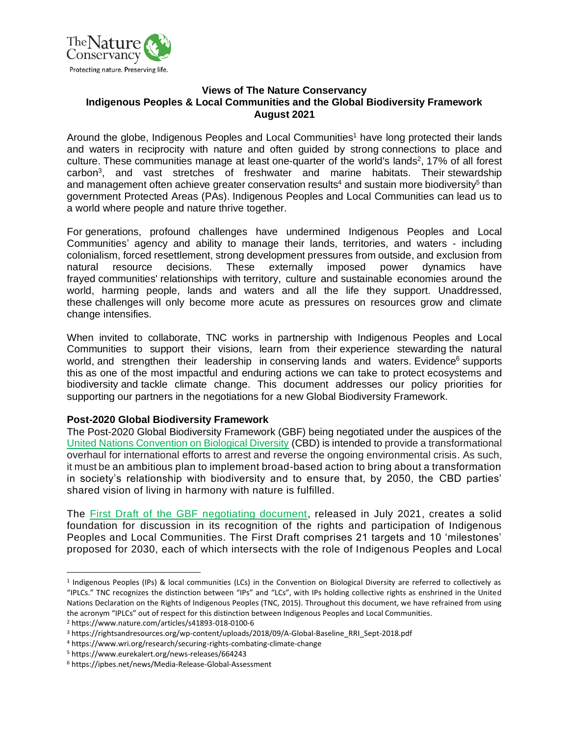

#### **Views of The Nature Conservancy Indigenous Peoples & Local Communities and the Global Biodiversity Framework August 2021**

Around the globe, Indigenous Peoples and Local Communities<sup>1</sup> have long protected their lands and waters in reciprocity with nature and often guided by strong connections to place and culture. These communities manage at least one-quarter of the world's lands<sup>2</sup>, 17% of all forest carbon<sup>3</sup>, and vast stretches of freshwater and marine habitats. Their stewardship and management often achieve greater conservation results<sup>4</sup> and sustain more biodiversity<sup>5</sup> than government Protected Areas (PAs). Indigenous Peoples and Local Communities can lead us to a world where people and nature thrive together.

For generations, profound challenges have undermined Indigenous Peoples and Local Communities' agency and ability to manage their lands, territories, and waters - including colonialism, forced resettlement, strong development pressures from outside, and exclusion from natural resource decisions. These externally imposed power dynamics have frayed communities' relationships with territory, culture and sustainable economies around the world, harming people, lands and waters and all the life they support. Unaddressed, these challenges will only become more acute as pressures on resources grow and climate change intensifies.

When invited to collaborate, TNC works in partnership with Indigenous Peoples and Local Communities to support their visions, learn from their experience stewarding the natural world, and strengthen their leadership in conserving lands and waters. Evidence<sup>6</sup> supports this as one of the most impactful and enduring actions we can take to protect ecosystems and biodiversity and tackle climate change. This document addresses our policy priorities for supporting our partners in the negotiations for a new Global Biodiversity Framework.

### **Post-2020 Global Biodiversity Framework**

The Post-2020 Global Biodiversity Framework (GBF) being negotiated under the auspices of the [United Nations Convention on Biological Diversity](https://www.cbd.int/conferences/post2020/wg2020-02/documents) (CBD) is intended to provide a transformational overhaul for international efforts to arrest and reverse the ongoing environmental crisis. As such, it must be an ambitious plan to implement broad-based action to bring about a transformation in society's relationship with biodiversity and to ensure that, by 2050, the CBD parties' shared vision of living in harmony with nature is fulfilled.

The [First Draft of the GBF negotiating document,](https://www.cbd.int/doc/c/abb5/591f/2e46096d3f0330b08ce87a45/wg2020-03-03-en.pdf) released in July 2021, creates a solid foundation for discussion in its recognition of the rights and participation of Indigenous Peoples and Local Communities. The First Draft comprises 21 targets and 10 'milestones' proposed for 2030, each of which intersects with the role of Indigenous Peoples and Local

<sup>1</sup> Indigenous Peoples (IPs) & local communities (LCs) in the Convention on Biological Diversity are referred to collectively as "IPLCs." TNC recognizes the distinction between "IPs" and "LCs", with IPs holding collective rights as enshrined in the United Nations Declaration on the Rights of Indigenous Peoples (TNC, 2015). Throughout this document, we have refrained from using the acronym "IPLCs" out of respect for this distinction between Indigenous Peoples and Local Communities.

<sup>2</sup> https://www.nature.com/articles/s41893-018-0100-6

<sup>&</sup>lt;sup>3</sup> https://rightsandresources.org/wp-content/uploads/2018/09/A-Global-Baseline\_RRI\_Sept-2018.pdf

<sup>4</sup> https://www.wri.org/research/securing-rights-combating-climate-change

<sup>5</sup> https://www.eurekalert.org/news-releases/664243

<sup>6</sup> https://ipbes.net/news/Media-Release-Global-Assessment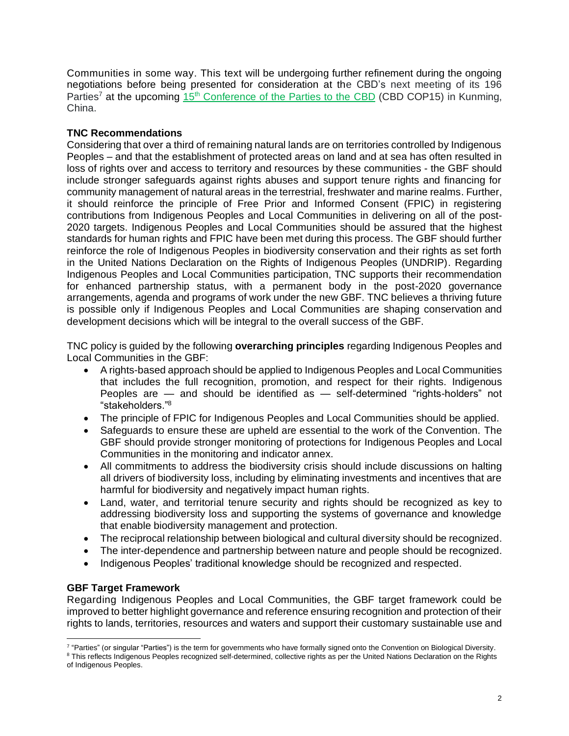Communities in some way. This text will be undergoing further refinement during the ongoing negotiations before being presented for consideration at the CBD's next meeting of its 196 Parties<sup>7</sup> at the upcoming  $15<sup>th</sup>$  [Conference of the Parties to the CBD](https://www.cbd.int/cop/) (CBD COP15) in Kunming, China.

# **TNC Recommendations**

Considering that over a third of remaining natural lands are on territories controlled by Indigenous Peoples – and that the establishment of protected areas on land and at sea has often resulted in loss of rights over and access to territory and resources by these communities - the GBF should include stronger safeguards against rights abuses and support tenure rights and financing for community management of natural areas in the terrestrial, freshwater and marine realms. Further, it should reinforce the principle of Free Prior and Informed Consent (FPIC) in registering contributions from Indigenous Peoples and Local Communities in delivering on all of the post-2020 targets. Indigenous Peoples and Local Communities should be assured that the highest standards for human rights and FPIC have been met during this process. The GBF should further reinforce the role of Indigenous Peoples in biodiversity conservation and their rights as set forth in the United Nations Declaration on the Rights of Indigenous Peoples (UNDRIP). Regarding Indigenous Peoples and Local Communities participation, TNC supports their recommendation for enhanced partnership status, with a permanent body in the post-2020 governance arrangements, agenda and programs of work under the new GBF. TNC believes a thriving future is possible only if Indigenous Peoples and Local Communities are shaping conservation and development decisions which will be integral to the overall success of the GBF.

TNC policy is guided by the following **overarching principles** regarding Indigenous Peoples and Local Communities in the GBF:

- A rights-based approach should be applied to Indigenous Peoples and Local Communities that includes the full recognition, promotion, and respect for their rights. Indigenous Peoples are — and should be identified as — self-determined "rights-holders" not "stakeholders." 8
- The principle of FPIC for Indigenous Peoples and Local Communities should be applied.
- Safeguards to ensure these are upheld are essential to the work of the Convention. The GBF should provide stronger monitoring of protections for Indigenous Peoples and Local Communities in the monitoring and indicator annex.
- All commitments to address the biodiversity crisis should include discussions on halting all drivers of biodiversity loss, including by eliminating investments and incentives that are harmful for biodiversity and negatively impact human rights.
- Land, water, and territorial tenure security and rights should be recognized as key to addressing biodiversity loss and supporting the systems of governance and knowledge that enable biodiversity management and protection.
- The reciprocal relationship between biological and cultural diversity should be recognized.
- The inter-dependence and partnership between nature and people should be recognized.
- Indigenous Peoples' traditional knowledge should be recognized and respected.

### **GBF Target Framework**

Regarding Indigenous Peoples and Local Communities, the GBF target framework could be improved to better highlight governance and reference ensuring recognition and protection of their rights to lands, territories, resources and waters and support their customary sustainable use and

<sup>&</sup>lt;sup>7</sup> "Parties" (or singular "Parties") is the term for governments who have formally signed onto the Convention on Biological Diversity.

<sup>&</sup>lt;sup>8</sup> This reflects Indigenous Peoples recognized self-determined, collective rights as per the United Nations Declaration on the Rights of Indigenous Peoples.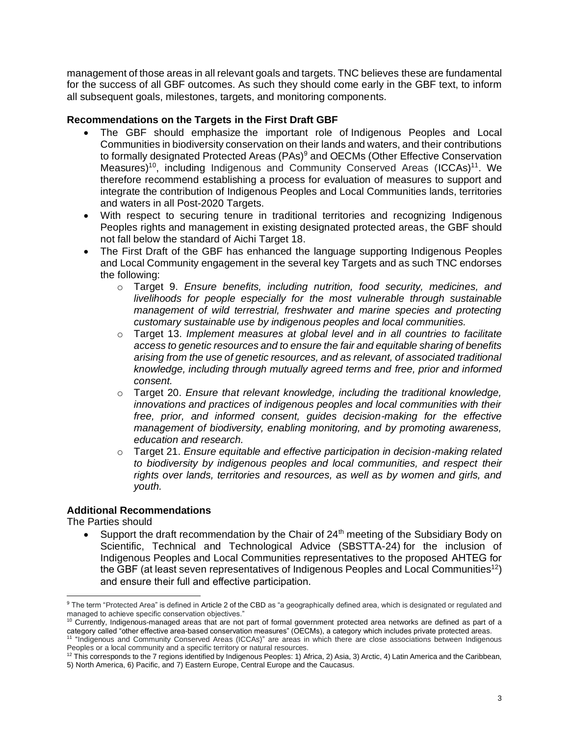management of those areas in all relevant goals and targets. TNC believes these are fundamental for the success of all GBF outcomes. As such they should come early in the GBF text, to inform all subsequent goals, milestones, targets, and monitoring components.

## **Recommendations on the Targets in the First Draft GBF**

- The GBF should emphasize the important role of Indigenous Peoples and Local Communities in biodiversity conservation on their lands and waters, and their contributions to formally designated Protected Areas (PAs)<sup>9</sup> and OECMs (Other Effective Conservation Measures)<sup>10</sup>, including Indigenous and Community Conserved Areas (ICCAs)<sup>11</sup>. We therefore recommend establishing a process for evaluation of measures to support and integrate the contribution of Indigenous Peoples and Local Communities lands, territories and waters in all Post-2020 Targets.
- With respect to securing tenure in traditional territories and recognizing Indigenous Peoples rights and management in existing designated protected areas, the GBF should not fall below the standard of Aichi Target 18.
- The First Draft of the GBF has enhanced the language supporting Indigenous Peoples and Local Community engagement in the several key Targets and as such TNC endorses the following:
	- o Target 9. *Ensure benefits, including nutrition, food security, medicines, and livelihoods for people especially for the most vulnerable through sustainable management of wild terrestrial, freshwater and marine species and protecting customary sustainable use by indigenous peoples and local communities.*
	- o Target 13. *Implement measures at global level and in all countries to facilitate access to genetic resources and to ensure the fair and equitable sharing of benefits arising from the use of genetic resources, and as relevant, of associated traditional knowledge, including through mutually agreed terms and free, prior and informed consent.*
	- o Target 20. *Ensure that relevant knowledge, including the traditional knowledge, innovations and practices of indigenous peoples and local communities with their free, prior, and informed consent, guides decision-making for the effective management of biodiversity, enabling monitoring, and by promoting awareness, education and research.*
	- o Target 21. *Ensure equitable and effective participation in decision-making related to biodiversity by indigenous peoples and local communities, and respect their rights over lands, territories and resources, as well as by women and girls, and youth.*

### **Additional Recommendations**

The Parties should

Support the draft recommendation by the Chair of  $24<sup>th</sup>$  meeting of the Subsidiary Body on Scientific, Technical and Technological Advice (SBSTTA-24) for the inclusion of Indigenous Peoples and Local Communities representatives to the proposed AHTEG for the GBF (at least seven representatives of Indigenous Peoples and Local Communities<sup>12</sup>) and ensure their full and effective participation.

<sup>9</sup> The term "Protected Area" is defined in Article 2 of the CBD as "a geographically defined area, which is designated or regulated and managed to achieve specific conservation objectives."

<sup>10</sup> Currently, Indigenous-managed areas that are not part of formal government protected area networks are defined as part of a category called "other effective area-based conservation measures" (OECMs), a category which includes private protected areas.<br><sup>11</sup> "Indigenous and Community Conserved Areas (ICCAs)" are areas in which there are close asso Peoples or a local community and a specific territory or natural resources.

 $12$  This corresponds to the 7 regions identified by Indigenous Peoples: 1) Africa, 2) Asia, 3) Arctic, 4) Latin America and the Caribbean, 5) North America, 6) Pacific, and 7) Eastern Europe, Central Europe and the Caucasus.